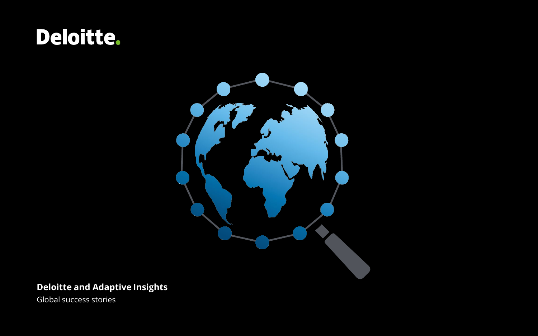# Deloitte.



## **Deloitte and Adaptive Insights**

Global success stories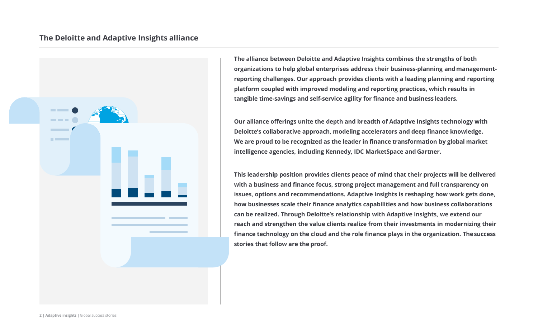### **The Deloitte and Adaptive Insights alliance**



**The alliance between Deloitte and Adaptive Insights combines the strengths of both organizations to help global enterprises address their business-planning andmanagementreporting challenges. Our approach provides clients with a leading planning and reporting platform coupled with improved modeling and reporting practices, which results in tangible time-savings and self-service agility for finance and business leaders.**

**Our alliance offerings unite the depth and breadth of Adaptive Insights technology with Deloitte's collaborative approach, modeling accelerators and deep finance knowledge. We are proud to be recognized as the leader in finance transformation by global market intelligence agencies, including Kennedy, IDC MarketSpace and Gartner.**

**This leadership position provides clients peace of mind that their projects will be delivered with a business and finance focus, strong project management and full transparency on issues, options and recommendations. Adaptive Insights is reshaping how work gets done, how businesses scale their finance analytics capabilities and how business collaborations can be realized. Through Deloitte's relationship with Adaptive Insights, we extend our reach and strengthen the value clients realize from their investments in modernizing their finance technology on the cloud and the role finance plays in the organization. Thesuccess stories that follow are the proof.**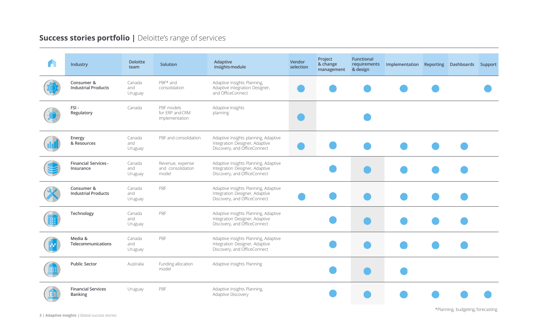## **Success stories portfolio | Deloitte's range of services**

| Industry                                    | <b>Deloitte</b><br>team  | Solution                                        | Adaptive<br>Insights module                                                                            | Vendor<br>selection | Project<br>& change<br>management | <b>Functional</b><br>requirements<br>& design | Implementation Reporting Dashboards Support |  |  |
|---------------------------------------------|--------------------------|-------------------------------------------------|--------------------------------------------------------------------------------------------------------|---------------------|-----------------------------------|-----------------------------------------------|---------------------------------------------|--|--|
| Consumer &<br><b>Industrial Products</b>    | Canada<br>and<br>Uruguay | PBF* and<br>consolidation                       | Adaptive Insights Planning,<br>Adaptive Integration Designer,<br>and OfficeConnect                     |                     |                                   |                                               |                                             |  |  |
| FSI-<br>Regulatory                          | Canada                   | PBF models<br>for ERP and CRM<br>implementation | Adaptive Insights<br>planning                                                                          |                     |                                   |                                               |                                             |  |  |
| Energy<br>& Resources                       | Canada<br>and<br>Uruguay | PBF and consolidation                           | Adaptive Insights planning, Adaptive<br>Integration Designer, Adaptive<br>Discovery, and OfficeConnect |                     |                                   |                                               |                                             |  |  |
| <b>Financial Services -</b><br>Insurance    | Canada<br>and<br>Uruguay | Revenue, expense<br>and consolidation<br>model  | Adaptive Insights Planning, Adaptive<br>Integration Designer, Adaptive<br>Discovery, and OfficeConnect |                     |                                   |                                               |                                             |  |  |
| Consumer &<br><b>Industrial Products</b>    | Canada<br>and<br>Uruguay | PBF                                             | Adaptive Insights Planning, Adaptive<br>Integration Designer, Adaptive<br>Discovery, and OfficeConnect |                     |                                   |                                               |                                             |  |  |
| Technology                                  | Canada<br>and<br>Uruguay | PBF                                             | Adaptive Insights Planning, Adaptive<br>Integration Designer, Adaptive<br>Discovery, and OfficeConnect |                     |                                   |                                               |                                             |  |  |
| Media &<br>Telecommunications               | Canada<br>and<br>Uruguay | PBF                                             | Adaptive Insights Planning, Adaptive<br>Integration Designer, Adaptive<br>Discovery, and OfficeConnect |                     |                                   |                                               |                                             |  |  |
| <b>Public Sector</b>                        | Australia                | Funding allocation<br>model                     | Adaptive Insights Planning                                                                             |                     |                                   |                                               |                                             |  |  |
| <b>Financial Services</b><br><b>Banking</b> | Uruguay                  | PBF                                             | Adaptive Insights Planning,<br>Adaptive Discovery                                                      |                     |                                   |                                               |                                             |  |  |

\*Planning, budgeting, forecasting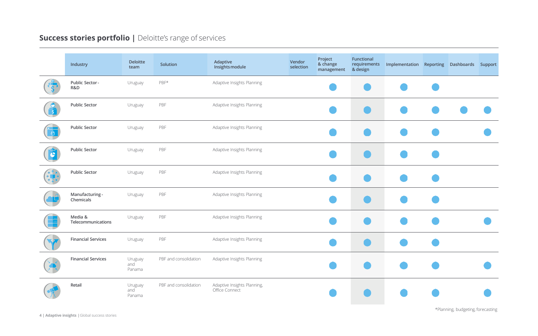## **Success stories portfolio | Deloitte's range of services**

| Industry                      | <b>Deloitte</b><br>team  | Solution              | Adaptive<br>Insights module                   | Vendor<br>selection | Project<br>& change<br>management | Functional<br>requirements<br>& design | Implementation Reporting Dashboards Support |  |  |
|-------------------------------|--------------------------|-----------------------|-----------------------------------------------|---------------------|-----------------------------------|----------------------------------------|---------------------------------------------|--|--|
| Public Sector-<br>R&D         | Uruguay                  | PBF*                  | Adaptive Insights Planning                    |                     |                                   |                                        |                                             |  |  |
| <b>Public Sector</b>          | Uruguay                  | PBF                   | Adaptive Insights Planning                    |                     |                                   |                                        |                                             |  |  |
| <b>Public Sector</b>          | Uruguay                  | PBF                   | Adaptive Insights Planning                    |                     |                                   |                                        |                                             |  |  |
| <b>Public Sector</b>          | Uruguay                  | PBF                   | Adaptive Insights Planning                    |                     |                                   |                                        |                                             |  |  |
| <b>Public Sector</b>          | Uruguay                  | PBF                   | Adaptive Insights Planning                    |                     |                                   |                                        |                                             |  |  |
| Manufacturing -<br>Chemicals  | Uruguay                  | PBF                   | Adaptive Insights Planning                    |                     |                                   |                                        |                                             |  |  |
| Media &<br>Telecommunications | Uruguay                  | PBF                   | Adaptive Insights Planning                    |                     |                                   |                                        |                                             |  |  |
| <b>Financial Services</b>     | Uruguay                  | PBF                   | Adaptive Insights Planning                    |                     |                                   |                                        |                                             |  |  |
| <b>Financial Services</b>     | Uruguay<br>and<br>Panama | PBF and consolidation | Adaptive Insights Planning                    |                     |                                   |                                        |                                             |  |  |
| Retail                        | Uruguay<br>and<br>Panama | PBF and consolidation | Adaptive Insights Planning,<br>Office Connect |                     |                                   |                                        |                                             |  |  |

**4 | Adaptive insights |**Global success stories

\*Planning, budgeting, forecasting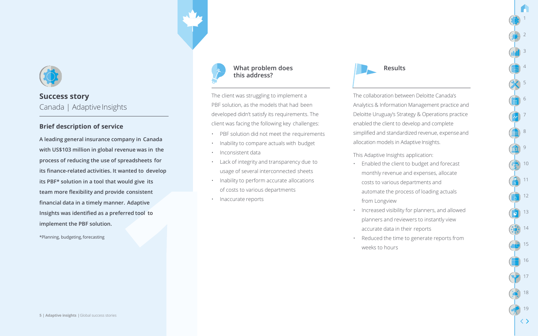

#### **Brief description of service**

**A leading general insurance company in Canada with US\$103 million in global revenue was in the process of reducing the use of spreadsheets for its finance-related activities. It wanted to develop its PBF\* solution in a tool that would give its team more flexibility and provide consistent financial data in a timely manner. Adaptive Insights was identified as a preferred tool to implement the PBF solution.**

\*Planning, budgeting,forecasting



#### What problem does **Results** Results **this address?**

The client was struggling to implement a PBF solution, as the models that had been developed didn't satisfy its requirements. The client was facing the following key challenges:

- PBF solution did not meet the requirements
- Inability to compare actuals with budget
- Inconsistent data
- Lack of integrity and transparency due to usage of several interconnected sheets
- Inability to perform accurate allocations of costs to various departments
- Inaccurate reports



The collaboration between Deloitte Canada's Analytics & Information Management practice and Deloitte Uruguay's Strategy & Operations practice enabled the client to develop and complete simplified and standardized revenue, expenseand allocation models in Adaptive Insights.

1

2

3

4

5

6

7

8

9

10

11

12

13

14

15

16

17

18

19

 $\langle \ \rangle$ 

This Adaptive Insights application:

- Enabled the client to budget and forecast monthly revenue and expenses, allocate costs to various departments and automate the process of loading actuals from Longview
- Increased visibility for planners, and allowed planners and reviewers to instantly view accurate data in their reports
- Reduced the time to generate reports from weeks to hours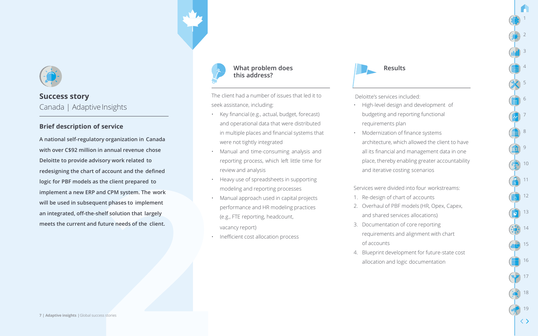

#### **Brief description of service**

**A national self-regulatory organization in Canada with over C\$92 million in annual revenue chose Deloitte to provide advisory work related to redesigning the chart of account and the defined logic for PBF models as the client prepared to implement a new ERP and CPM system. The work will be used in subsequent phases to implement an integrated, off-the-shelf solution that largely meets the current and future needs of the client.**



## **this address?**

The client had a number of issues that led it to seek assistance, including:

- Key financial (e.g., actual, budget, forecast) and operational data that were distributed in multiple places and financial systems that were not tightly integrated
- Manual and time-consuming analysis and reporting process, which left little time for review and analysis
- Heavy use of spreadsheets in supporting modeling and reporting processes
- Manual approach used in capital projects performance and HR modeling practices (e.g., FTE reporting, headcount, vacancy report)
- Inefficient cost allocation process



Deloitte's services included:

- High-level design and development of budgeting and reporting functional requirements plan
- Modernization of finance systems architecture, which allowed the client to have all its financial and management data in one place, thereby enabling greater accountability and iterative costing scenarios

1

2

3

4

5

6

7

8

9

10

11

12

13

14

15

16

17

18

19

 $\langle \ \rangle$ 

#### Services were divided into four workstreams:

- 1. Re-design of chart of accounts
- 2. Overhaul of PBF models (HR, Opex, Capex, and shared services allocations)
- 3. Documentation of core reporting requirements and alignment with chart of accounts
- 4. Blueprint development for future-state cost allocation and logic documentation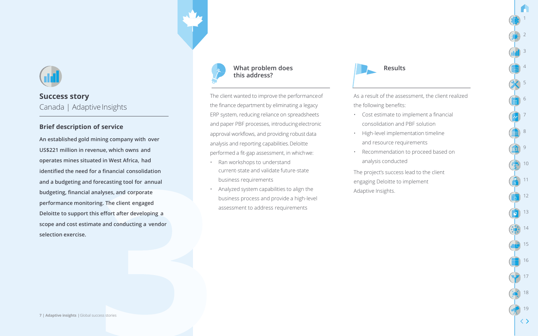

#### **Brief description of service**

**An established gold mining company with over US\$221 million in revenue, which owns and operates mines situated in West Africa, had identified the need for a financial consolidation and a budgeting and forecasting tool for annual budgeting, financial analyses, and corporate performance monitoring. The client engaged Deloitte to support this effort after developing a scope and cost estimate and conducting a vendor selection exercise.**



## **this address?**

The client wanted to improve the performanceof the finance department by eliminating a legacy ERP system, reducing reliance on spreadsheets and paper PBF processes, introducingelectronic approval workflows, and providing robust data analysis and reporting capabilities.Deloitte performed a fit-gap assessment, in whichwe:

- Ran workshops to understand current-state and validate future-state business requirements
- Analyzed system capabilities to align the business process and provide a high-level assessment to address requirements



As a result of the assessment, the client realized the following benefits:

1

2

3

4

5

6

7

8

9

10

11

12

13

14

15

16

17

18

19

 $\langle \ \rangle$ 

- Cost estimate to implement a financial consolidation and PBF solution
- High-level implementation timeline and resource requirements
- Recommendation to proceed based on analysis conducted

The project's success lead to the client engaging Deloitte to implement Adaptive Insights.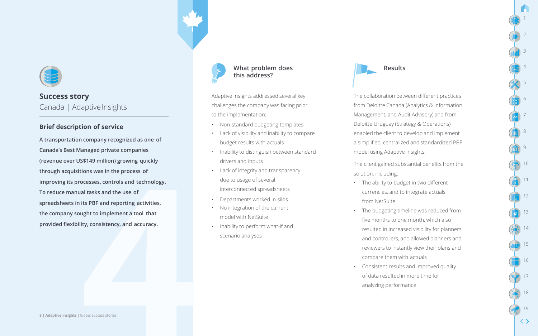

#### **Brief description of service**

**A transportation company recognized as one of Canada's Best Managed private companies (revenue over US\$149 million) growing quickly through acquisitions was in the process of improving its processes, controls and technology. To reduce manual tasks and the use of spreadsheets in its PBF and reporting activities, the company sought to implement a tool that provided flexibility, consistency, and accuracy.**



#### What problem does **Results** Results **this address?**

Adaptive Insights addressed several key challenges the company was facing prior to the implementation:

- Non-standard budgeting templates
- Lack of visibility and inability to compare budget results with actuals
- Inability to distinguish between standard drivers and inputs
- Lack of integrity and transparency due to usage of several interconnected spreadsheets
- Departments worked in silos
- No integration of the current model with NetSuite
- Inability to perform what-if and scenario analyses



The collaboration between different practices from Deloitte Canada (Analytics & Information Management, and Audit Advisory) and from Deloitte Uruguay (Strategy & Operations) enabled the client to develop and implement a simplified, centralized and standardized PBF model using Adaptive Insights.

1

2

3

4

5

6

7

8

9

10

11

12

13

14

15

16

17

18

19

 $\langle \ \rangle$ 

The client gained substantial benefits from the solution, including:

- The ability to budget in two different currencies, and to integrate actuals from NetSuite
- The budgeting timeline was reduced from five months to one month, which also resulted in increased visibility for planners and controllers, and allowed planners and reviewers to instantly view their plans and compare them with actuals
- Consistent results and improved quality of data resulted in more time for analyzing performance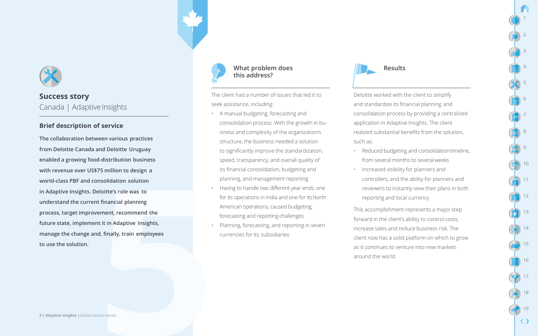

#### **Brief description of service**

**The collaboration between various practices from Deloitte Canada and Deloitte Uruguay enabled a growing food-distribution business with revenue over US\$75 million to design a world-class PBF and consolidation solution in Adaptive Insights. Deloitte's role was to understand the current financial planning process, target improvement, recommend the future state, implement it in Adaptive Insights, manage the change and, finally, train employees to use the solution.**



#### What problem does **Results** Results **this address?**

The client had a number of issues that led it to seek assistance, including:

- A manual budgeting, forecasting and consolidation process. With the growth in business and complexity of the organization's structure, the business needed a solution to significantly improve the standardization, speed, transparency, and overall quality of its financial consolidation, budgeting and planning, and management reporting
- Having to handle two different year-ends, one for its operations in India and one for its North American operations, caused budgeting, forecasting and reporting challenges
- Planning, forecasting, and reporting in seven currencies for its subsidiaries



Deloitte worked with the client to simplify and standardize its financial planning and consolidation process by providing a centralized application in Adaptive Insights. The client realized substantial benefits from the solution, such as:

1

2

3

4

5

6

7

8

9

10

11

12

13

14

15

16

17

18

19

 $\langle \ \rangle$ 

- Reduced budgeting and consolidationtimeline, from several months to severalweeks
- Increased visibility for planners and controllers, and the ability for planners and reviewers to instantly view their plans in both reporting and local currency

This accomplishment represents a major step forward in the client's ability to control costs, increase sales and reduce business risk. The client now has a solid platform on which to grow as it continues to venture into new markets around the world.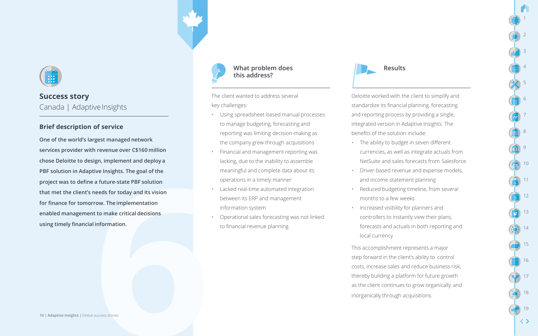

#### **Brief description of service**

**One of the world's largest managed network services provider with revenue over C\$160 million chose Deloitte to design, implement and deploy a PBF solution in Adaptive Insights. The goal of the project was to define a future-state PBF solution that met the client's needs for today and its vision for finance for tomorrow. The implementation enabled management to make critical decisions using timely financial information.**



#### What problem does **Results** Results **this address?**

The client wanted to address several key challenges:

- Using spreadsheet-based manual processes to manage budgeting, forecasting and reporting was limiting decision-making as the company grew through acquisitions
- Financial and management reporting was lacking, due to the inability to assemble meaningful and complete data about its operations in a timely manner
- Lacked real-time automated integration between its ERP and management information system
- Operational sales forecasting was not linked to financial revenue planning



Deloitte worked with the client to simplify and standardize its financial planning, forecasting and reporting process by providing a single, integrated version in Adaptive Insights. The benefits of the solution include:

1

2

3

4

5

6

7

8

9

10

11

12

13

14

15

16

17

19

 $\langle \ \rangle$ 

- The ability to budget in seven different currencies, as well as integrate actuals from NetSuite and sales forecasts from Salesforce
- Driver-based revenue and expense models, and income-statement planning
- Reduced budgeting timeline, from several months to a few weeks
- Increased visibility for planners and controllers to instantly view their plans, forecasts and actuals in both reporting and local currency

This accomplishment represents a major step forward in the client's ability to control costs, increase sales and reduce business risk, thereby building a platform for future growth as the client continues to grow organically and inorganically through acquisitions.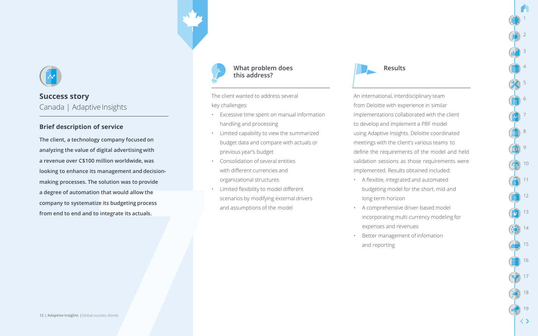

#### **Brief description of service**

**The client, a technology company focused on analyzing the value of digital advertising with a revenue over C\$100 million worldwide, was looking to enhance its management and decisionmaking processes. The solution was to provide a degree of automation that would allow the company to systematize its budgeting process from end to end and to integrate its actuals.**



#### What problem does **Results** Results **this address?**

The client wanted to address several key challenges:

- Excessive time spent on manual information handling and processing
- Limited capability to view the summarized budget data and compare with actuals or previous year's budget
- Consolidation of several entities with different currencies and organizational structures
- Limited flexibility to model different scenarios by modifying external drivers and assumptions of the model



An international, interdisciplinary team from Deloitte with experience in similar implementations collaborated with the client to develop and implement a PBF model using Adaptive Insights. Deloitte coordinated meetings with the client's various teams to define the requirements of the model and held validation sessions as those requirements were implemented. Results obtained included:

1

2

3

4

5

6

7

8

9

10

11

12

13

14

15

16

17

18

19

- A flexible, integrated and automated budgeting model for the short, mid-and long-term horizon
- A comprehensive driver-based model incorporating multi-currency modeling for expenses and revenues
- Better management of infomation and reporting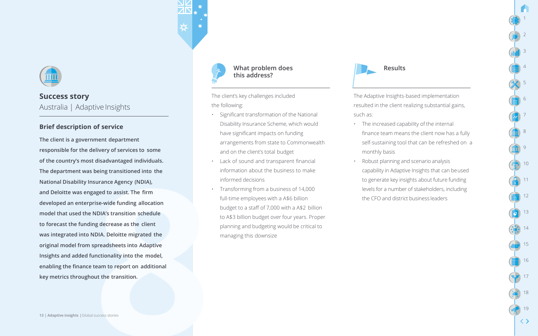

## **Success story** Australia | Adaptive Insights

#### **Brief description of service**

**The client is a government department responsible for the delivery of services to some of the country's most disadvantaged individuals. The department was being transitioned into the National Disability Insurance Agency (NDIA), and Deloitte was engaged to assist. The firm developed an enterprise-wide funding allocation model that used the NDIA's transition schedule to forecast the funding decrease as the client was integrated into NDIA. Deloitte migrated the original model from spreadsheets into Adaptive Insights and added functionality into the model, enabling the finance team to report on additional key metrics throughout the transition.**  $\left(\frac{1}{2}\right)$  17



#### What problem does **Results** Results **this address?**

The client's key challenges included the following:

- Significant transformation of the National Disability Insurance Scheme, which would have significant impacts on funding arrangements from state to Commonwealth and on the client's total budget
- Lack of sound and transparent financial information about the business to make informed decisions
- Transforming from a business of 14,000 full-time employees with a A\$6 billion budget to a staff of 7,000 with a A\$2 billion to A\$3 billion budget over four years. Proper planning and budgeting would be critical to managing this downsize



The Adaptive Insights-based implementation resulted in the client realizing substantial gains, such as:

1

2

3

4

5

6

7

8

9

10

11

12

13

14

15

16

18

19

- The increased capability of the internal finance team means the client now has a fully self-sustaining tool that can be refreshed on a monthly basis
- Robust planning and scenario analysis capability in Adaptive Insights that can beused to generate key insights about future funding levels for a number of stakeholders, including the CFO and district business leaders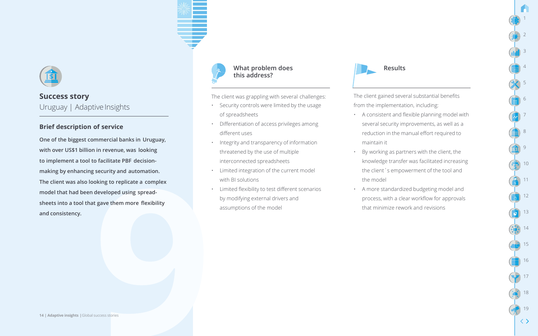

#### **Brief description of service**

**One of the biggest commercial banks in Uruguay, with over US\$1 billion in revenue, was looking to implement a tool to facilitate PBF decisionmaking by enhancing security and automation. The client was also looking to replicate a complex model that had been developed using spreadsheets into a tool that gave them more flexibility and consistency.**



#### What problem does **Results** Results **this address?**

The client was grappling with several challenges:

- Security controls were limited by the usage of spreadsheets
- Differentiation of access privileges among different uses
- Integrity and transparency of information threatened by the use of multiple interconnected spreadsheets
- Limited integration of the current model with BI solutions
- Limited flexibility to test different scenarios by modifying external drivers and assumptions of the model



The client gained several substantial benefits from the implementation, including:

• A consistent and flexible planning model with several security improvements, as well as a reduction in the manual effort required to maintain it

1

2

3

4

5

6

7

8

9

10

11

12

13

14

15

16

17

18

19

- By working as partners with the client, the knowledge transfer was facilitated increasing the client´s empowerment of the tool and the model
- A more standardized budgeting model and process, with a clear workflow for approvals that minimize rework and revisions

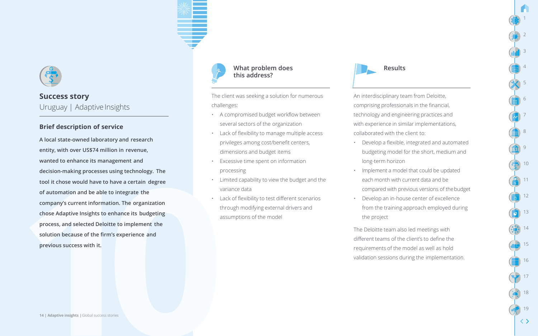

#### **Brief description of service**

**A local state-owned laboratory and research entity, with over US\$74 million in revenue, wanted to enhance its management and decision-making processes using technology. The tool it chose would have to have a certain degree of automation and be able to integrate the company's current information. The organization chose Adaptive Insights to enhance its budgeting process, and selected Deloitte to implement the solution because of the firm's experience and previous success with it.**



#### What problem does **Results** Results **this address?**

The client was seeking a solution for numerous challenges:

- A compromised budget workflow between several sectors of the organization
- Lack of flexibility to manage multiple access privileges among cost/benefit centers, dimensions and budget items
- Excessive time spent on information processing
- Limited capability to view the budget and the variance data
- Lack of flexibility to test different scenarios through modifying external drivers and assumptions of the model



An interdisciplinary team from Deloitte, comprising professionals in the financial, technology and engineering practices and with experience in similar implementations, collaborated with the client to:

- Develop a flexible, integrated and automated budgeting model for the short, medium and long-term horizon
- Implement a model that could be updated each month with current data and be compared with previous versions of thebudget
- Develop an in-house center of excellence from the training approach employed during the project

The Deloitte team also led meetings with different teams of the client's to define the requirements of the model as well as hold validation sessions during the implementation.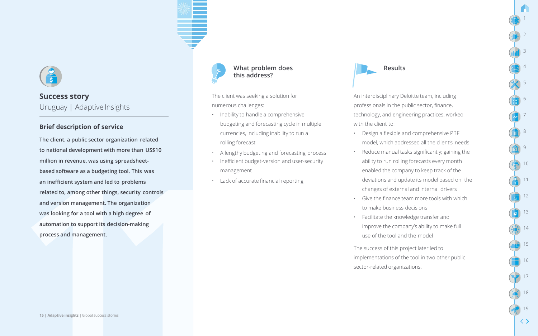

#### **Brief description of service**

**The client, a public sector organization related to national development with more than US\$10 million in revenue, was using spreadsheetbased software as a budgeting tool. This was an inefficient system and led to problems related to, among other things, security controls and version management. The organization was looking for a tool with a high degree of automation to support its decision-making process and management.**



#### What problem does **Results** Results **this address?**

The client was seeking a solution for numerous challenges:

- Inability to handle a comprehensive budgeting and forecasting cycle in multiple currencies, including inability to run a rolling forecast
- A lengthy budgeting and forecasting process
- Inefficient budget-version and user-security management
- Lack of accurate financial reporting



An interdisciplinary Deloitte team, including professionals in the public sector, finance, technology, and engineering practices, worked with the client to:

1

2

3

4

5

6

7

8

9

10

11

12

13

14

15

16

17

18

19

 $\langle \ \rangle$ 

- Design a flexible and comprehensive PBF model, which addressed all the client's needs
- Reduce manual tasks significantly; gaining the ability to run rolling forecasts every month enabled the company to keep track of the deviations and update its model based on the changes of external and internal drivers
- Give the finance team more tools with which to make business decisions
- Facilitate the knowledge transfer and improve the company's ability to make full use of the tool and the model

The success of this project later led to implementations of the tool in two other public sector-related organizations.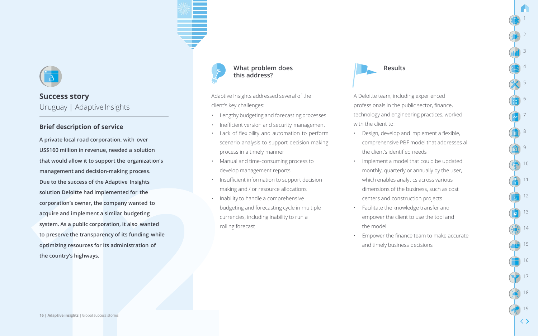

#### **Brief description of service**

**A private local road corporation, with over US\$160 million in revenue, needed a solution that would allow it to support the organization's management and decision-making process. Due to the success of the Adaptive Insights solution Deloitte had implemented for the corporation's owner, the company wanted to acquire and implement a similar budgeting system. As a public corporation, it also wanted to preserve the transparency of its funding while optimizing resources for its administration of the country's highways.**



#### What problem does **Results** Results **this address?**

Adaptive Insights addressed several of the client's key challenges:

- Lengthy budgeting and forecasting processes
- Inefficient version and security management
- Lack of flexibility and automation to perform scenario analysis to support decision making process in a timely manner
- Manual and time-consuming process to develop management reports
- Insufficient information to support decision making and / or resource allocations
- Inability to handle a comprehensive budgeting and forecasting cycle in multiple currencies, including inability to run a rolling forecast



A Deloitte team, including experienced professionals in the public sector, finance, technology and engineering practices, worked with the client to:

1

2

3

4

5

6

7

8

9

10

11

12

13

14

15

16

17

18

19

- Design, develop and implement a flexible, comprehensive PBF model that addresses all the client's identified needs
- Implement a model that could be updated monthly, quarterly or annually by the user, which enables analytics across various dimensions of the business, such as cost centers and construction projects
- Facilitate the knowledge transfer and empower the client to use the tool and the model
- Empower the finance team to make accurate and timely business decisions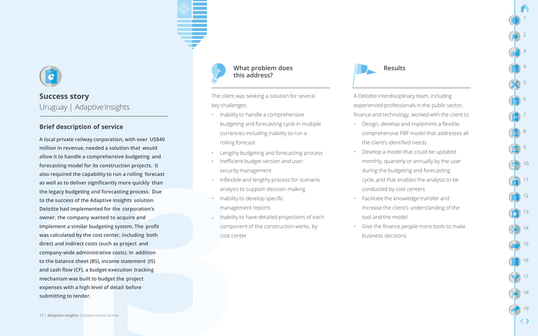

#### **Brief description of service**

**A local private railway corporation, with over US\$40 million in revenue, needed a solution that would allow it to handle a comprehensive budgeting and forecasting model for its construction projects. It also required the capability to run a rolling forecast as well as to deliver significantly more quickly than the legacy budgeting and forecasting process. Due to the success of the Adaptive Insights solution Deloitte had implemented for the corporation's owner, the company wanted to acquire and** • **implement a similar budgeting system. The profit was calculated by the cost center, including both direct and indirect costs (such as project and company-wide administrative costs). In addition to the balance sheet (BS), income statement (IS) and cash flow (CF), a budget-execution tracking mechanism was built to budget the project expenses with a high level of detail before** <sup>18</sup> **submitting to tender.**



#### What problem does **Results** Results **this address?**

The client was seeking a solution for several key challenges:

- Inability to handle a comprehensive budgeting and forecasting cycle in multiple currencies including inability to run a rolling forecast
- Lengthy budgeting and forecasting process
- Inefficient budget-version and usersecurity management
- Inflexible and lengthy process for scenario analysis to support decision-making
- Inability to develop specific management reports
- Inability to have detailed projections of each component of the construction works, by cost center



A Deloitte interdisciplinary team, including experienced professionals in the public sector, finance and technology, worked with the client to: 1

2

3

4

5

6

7

8

9

10

11

12

13

14

15

16

17

19

- Design, develop and implement a flexible, comprehensive PBF model that addresses all the client's identified needs
- Develop a model that could be updated monthly, quarterly or annually by the user during the budgeting and forecasting cycle, and that enables the analysis to be conducted by cost centers
- Facilitate the knowledge transfer and increase the client's understanding of the tool and the model
- Give the finance people more tools to make business decisions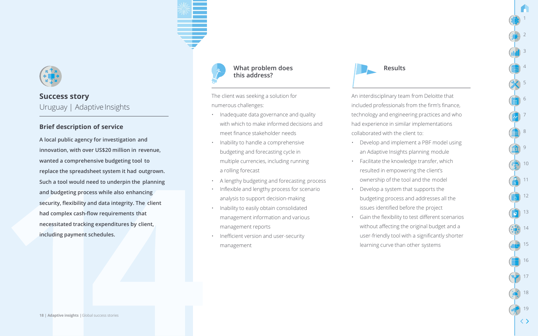

#### **Brief description of service**

**A local public agency for investigation and innovation, with over US\$20 million in revenue, wanted a comprehensive budgeting tool to replace the spreadsheet system it had outgrown. Such a tool would need to underpin the planning and budgeting process while also enhancing security, flexibility and data integrity. The client had complex cash-flow requirements that necessitated tracking expenditures by client, including payment schedules.**



#### What problem does **Results** Results **this address?**

The client was seeking a solution for numerous challenges:

- Inadequate data governance and quality with which to make informed decisions and meet finance stakeholder needs
- Inability to handle a comprehensive budgeting and forecasting cycle in multiple currencies, including running a rolling forecast
- A lengthy budgeting and forecasting process
- Inflexible and lengthy process for scenario analysis to support decision-making
- Inability to easily obtain consolidated management information and various management reports
- Inefficient version and user-security management



An interdisciplinary team from Deloitte that included professionals from the firm's finance, technology and engineering practices and who had experience in similar implementations collaborated with the client to:

1

2

3

4

5

6

7

8

9

10

11

12

13

14

15

16

17

18

19

- Develop and implement a PBF model using an Adaptive Insights planning module
- Facilitate the knowledge transfer, which resulted in empowering the client's ownership of the tool and the model
- Develop a system that supports the budgeting process and addresses all the issues identified before the project
- Gain the flexibility to test different scenarios without affecting the original budget and a user-friendly tool with a significantly shorter learning curve than other systems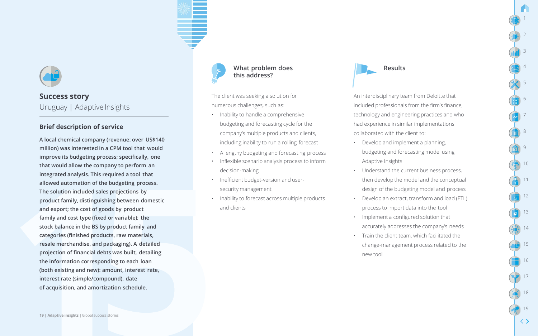

#### **Brief description of service**

**A local chemical company (revenue: over US\$140 million) was interested in a CPM tool that would improve its budgeting process; specifically, one that would allow the company to perform an integrated analysis. This required a tool that allowed automation of the budgeting process. The solution included sales projections by product family, distinguishing between domestic and export; the cost of goods by product family and cost type (fixed or variable); the stock balance in the BS by product family and categories (finished products, raw materials, resale merchandise, and packaging). A detailed projection of financial debts was built, detailing the information corresponding to each loan (both existing and new): amount, interest rate, interest rate (simple/compound), date of acquisition, and amortization schedule.**



#### What problem does **Results** Results **this address?**

The client was seeking a solution for numerous challenges, such as:

- Inability to handle a comprehensive budgeting and forecasting cycle for the company's multiple products and clients, including inability to run a rolling forecast
- A lengthy budgeting and forecasting process
- Inflexible scenario analysis process to inform decision-making
- Inefficient budget-version and usersecurity management
- Inability to forecast across multiple products and clients



An interdisciplinary team from Deloitte that included professionals from the firm's finance, technology and engineering practices and who had experience in similar implementations collaborated with the client to:

1

2

3

4

5

6

7

8

9

10

11

12

13

14

15

16

17

18

19

- Develop and implement a planning, budgeting and forecasting model using Adaptive Insights
- Understand the current business process, then develop the model and the conceptual design of the budgeting model and process
- Develop an extract, transform and load (ETL) process to import data into the tool
- Implement a configured solution that accurately addresses the company's needs
- Train the client team, which facilitated the change-management process related to the new tool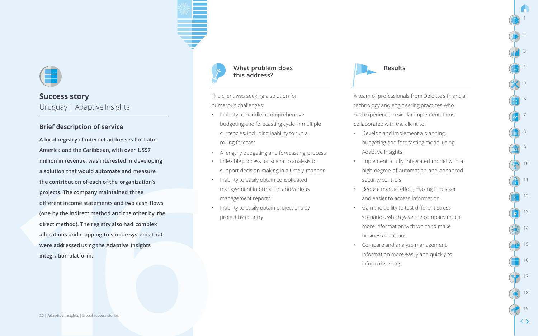

#### **Brief description of service**

**A local registry of internet addresses for Latin America and the Caribbean, with over US\$7 million in revenue, was interested in developing a solution that would automate and measure the contribution of each of the organization's projects. The company maintained three different income statements and two cash flows (one by the indirect method and the other by the direct method). The registry also had complex allocations and mapping-to-source systems that were addressed using the Adaptive Insights integration platform.**



#### What problem does **Results** Results **this address?**

The client was seeking a solution for numerous challenges:

- Inability to handle a comprehensive budgeting and forecasting cycle in multiple currencies, including inability to run a rolling forecast
- A lengthy budgeting and forecasting process
- Inflexible process for scenario analysis to support decision-making in a timely manner
- Inability to easily obtain consolidated management information and various management reports
- Inability to easily obtain projections by project by country



A team of professionals from Deloitte's financial, technology and engineering practices who had experience in similar implementations collaborated with the client to:

1

2

3

4

5

6

7

8

9

10

11

12

13

14

15

16

17

18

19

- Develop and implement a planning, budgeting and forecasting model using Adaptive Insights
- Implement a fully integrated model with a high degree of automation and enhanced security controls
- Reduce manual effort, making it quicker and easier to access information
- Gain the ability to test different stress scenarios, which gave the company much more information with which to make business decisions
- Compare and analyze management information more easily and quickly to inform decisions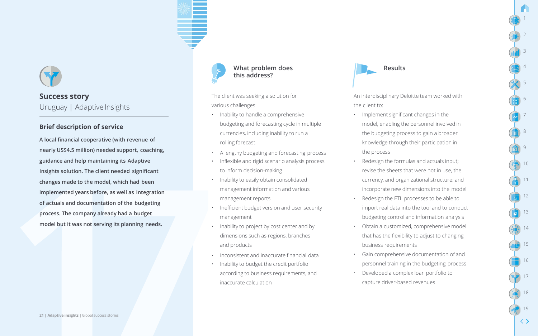

#### **Brief description of service**

**A local financial cooperative (with revenue of nearly US\$4.5 million) needed support, coaching, guidance and help maintaining its Adaptive Insights solution. The client needed significant changes made to the model, which had been implemented years before, as well as integration of actuals and documentation of the budgeting process. The company already had a budget model but it was not serving its planning needs.**



## **this address?**

The client was seeking a solution for various challenges:

- Inability to handle a comprehensive budgeting and forecasting cycle in multiple currencies, including inability to run a rolling forecast
- A lengthy budgeting and forecasting process
- Inflexible and rigid scenario analysis process to inform decision-making
- Inability to easily obtain consolidated management information and various management reports
- Inefficient budget version and user security management
- Inability to project by cost center and by dimensions such as regions, branches and products
- Inconsistent and inaccurate financial data
- Inability to budget the credit portfolio according to business requirements, and inaccurate calculation



An interdisciplinary Deloitte team worked with the client to:

1

2

3

4

5

6

7

8

9

10

11

12

13

14

15

16

17

18

19

- Implement significant changes in the model, enabling the personnel involved in the budgeting process to gain a broader knowledge through their participation in the process
- Redesign the formulas and actuals input; revise the sheets that were not in use, the currency, and organizational structure; and incorporate new dimensions into the model
- Redesign the ETL processes to be able to import real data into the tool and to conduct budgeting control and information analysis
- Obtain a customized, comprehensive model that has the flexibility to adjust to changing business requirements
- Gain comprehensive documentation of and personnel training in the budgeting process
- Developed a complex loan portfolio to capture driver-based revenues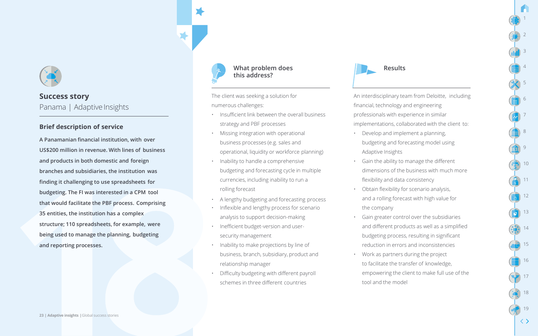

#### **Brief description of service**

**A Panamanian financial institution, with over US\$200 million in revenue. With lines of business and products in both domestic and foreign branches and subsidiaries, the institution was finding it challenging to use spreadsheets for budgeting. The FI was interested in a CPM tool that would facilitate the PBF process. Comprising 35 entities, the institution has a complex structure; 110 spreadsheets, for example, were being used to manage the planning, budgeting and reporting processes.**



#### What problem does **Results** Results **this address?**

The client was seeking a solution for numerous challenges:

- Insufficient link between the overall business strategy and PBF processes
- Missing integration with operational business processes (e.g. sales and operational, liquidity or workforce planning)
- Inability to handle a comprehensive budgeting and forecasting cycle in multiple currencies, including inability to run a rolling forecast
- A lengthy budgeting and forecasting process
- Inflexible and lengthy process for scenario analysis to support decision-making
- Inefficient budget-version and usersecurity management
- Inability to make projections by line of business, branch, subsidiary, product and relationship manager
- Difficulty budgeting with different payroll schemes in three different countries



An interdisciplinary team from Deloitte, including financial, technology and engineering professionals with experience in similar implementations, collaborated with the client to:

1

2

3

4

5

6

7

8

9

10

11

12

13

14

15

16

17

18

19

- Develop and implement a planning, budgeting and forecasting model using Adaptive Insights
- Gain the ability to manage the different dimensions of the business with much more flexibility and data consistency
- Obtain flexibility for scenario analysis, and a rolling forecast with high value for the company
- Gain greater control over the subsidiaries and different products as well as a simplified budgeting process, resulting in significant reduction in errors and inconsistencies
- Work as partners during the project to facilitate the transfer of knowledge, empowering the client to make full use of the tool and the model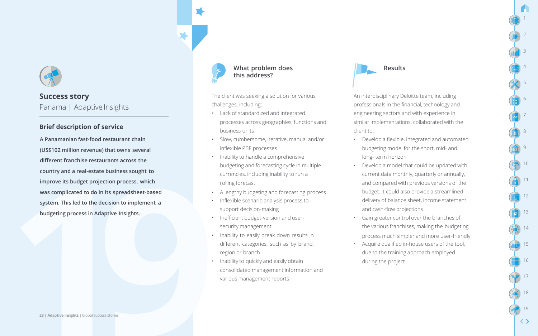

#### **Brief description of service**

**A Panamanian fast-food restaurant chain (US\$102 million revenue) that owns several different franchise restaurants across the country and a real-estate business sought to improve its budget projection process, which was complicated to do in its spreadsheet-based system. This led to the decision to implement a budgeting process in Adaptive Insights.**



#### What problem does **Results** Results **this address?**

The client was seeking a solution for various challenges, including:

- Lack of standardized and integrated processes across geographies, functions and business units
- Slow, cumbersome, iterative, manual and/or inflexible PBF processes
- Inability to handle a comprehensive budgeting and forecasting cycle in multiple currencies, including inability to run a rolling forecast
- A lengthy budgeting and forecasting process
- Inflexible scenario analysis process to support decision-making
- Inefficient budget-version and usersecurity management
- Inability to easily break down results in different categories, such as by brand, region or branch
- Inability to quickly and easily obtain consolidated management information and various management reports



An interdisciplinary Deloitte team, including professionals in the financial, technology and engineering sectors and with experience in similar implementations, collaborated with the client to:

1

2

3

4

5

6

7

8

9

10

11

12

13

14

15

16

17

18

19

- Develop a flexible, integrated and automated budgeting model for the short, mid- and long- term horizon
- Develop a model that could be updated with current data monthly, quarterly or annually, and compared with previous versions of the budget. It could also provide a streamlined delivery of balance sheet, income statement and cash-flow projections
- Gain greater control over the branches of the various franchises, making the budgeting process much simpler and more user-friendly
- Acquire qualified in-house users of the tool, due to the training approach employed during the project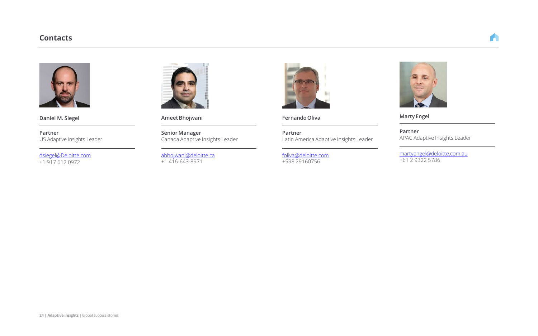#### **Contacts**



**Daniel M. Siegel**

**Partner** US Adaptive Insights Leader

[dsiegel@Deloitte.com](mailto:ndercole@deloitte.ca) +1 917 612 0972



**AmeetBhojwani**

**Senior Manager** Canada Adaptive Insights Leader

[abhojwani@deloitte.ca](mailto:abhojwani@deloitte.ca)  +1 416-643-8971



**FernandoOliva**

**Partner** Latin America Adaptive Insights Leader

[foliva@deloitte.com](mailto:foliva@deloitte.com) +598 29160756



**Marty Engel**

**Partner** APAC Adaptive Insights Leader

[martyengel@deloitte.com.au](mailto:martyengel@deloitte.com.au) +61 2 9322 5786